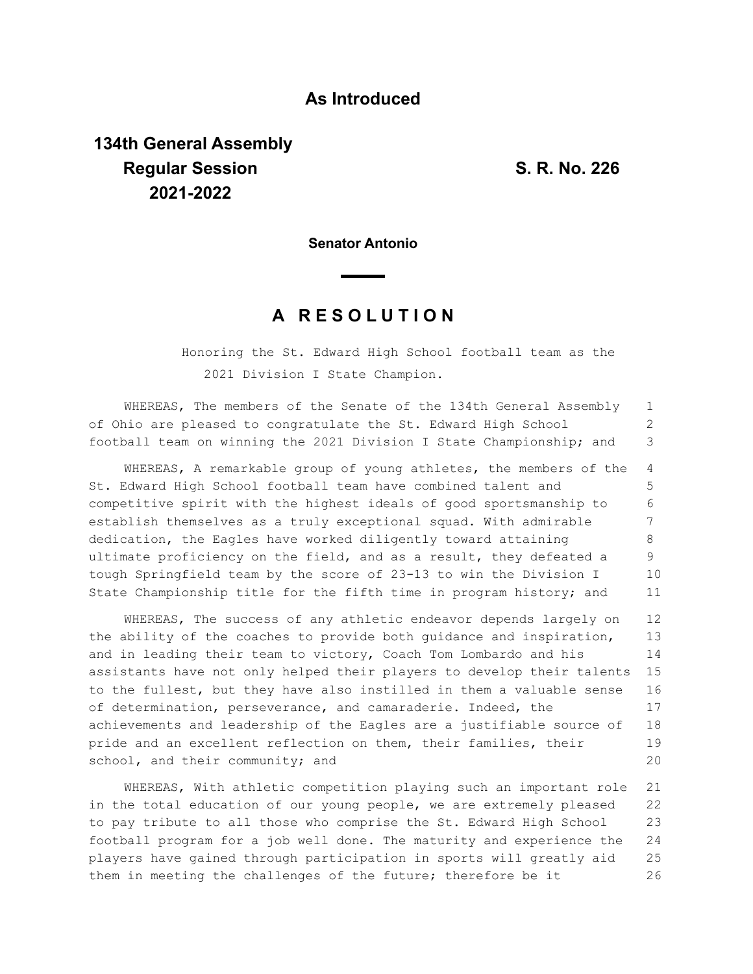## **As Introduced**

## **134th General Assembly Regular Session S. R. No. 226 2021-2022**

**Senator Antonio**

## **A R E S O L U T I O N**

Honoring the St. Edward High School football team as the 2021 Division I State Champion.

WHEREAS, The members of the Senate of the 134th General Assembly of Ohio are pleased to congratulate the St. Edward High School football team on winning the 2021 Division I State Championship; and 1 2 3

WHEREAS, A remarkable group of young athletes, the members of the St. Edward High School football team have combined talent and competitive spirit with the highest ideals of good sportsmanship to establish themselves as a truly exceptional squad. With admirable dedication, the Eagles have worked diligently toward attaining ultimate proficiency on the field, and as a result, they defeated a tough Springfield team by the score of 23-13 to win the Division I State Championship title for the fifth time in program history; and 4 5 6 7 8 9 10 11

WHEREAS, The success of any athletic endeavor depends largely on the ability of the coaches to provide both guidance and inspiration, and in leading their team to victory, Coach Tom Lombardo and his assistants have not only helped their players to develop their talents to the fullest, but they have also instilled in them a valuable sense of determination, perseverance, and camaraderie. Indeed, the achievements and leadership of the Eagles are a justifiable source of pride and an excellent reflection on them, their families, their school, and their community; and 12 13 14 15 16 17 18 19 20

WHEREAS, With athletic competition playing such an important role in the total education of our young people, we are extremely pleased to pay tribute to all those who comprise the St. Edward High School football program for a job well done. The maturity and experience the players have gained through participation in sports will greatly aid them in meeting the challenges of the future; therefore be it 21 22 23 24 25 26